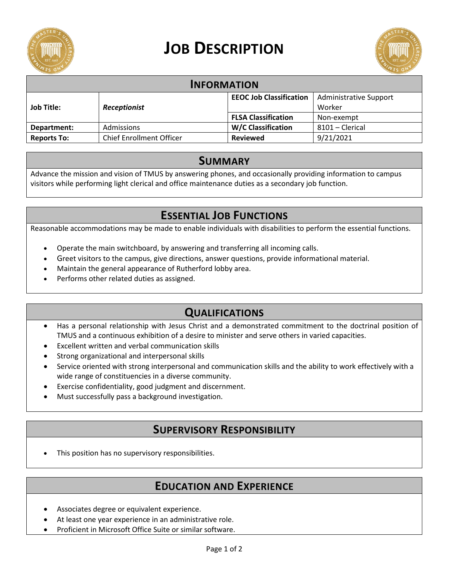

# **JOB DESCRIPTION**



| <b>INFORMATION</b> |                                 |                                |                               |
|--------------------|---------------------------------|--------------------------------|-------------------------------|
| <b>Job Title:</b>  | <b>Receptionist</b>             | <b>EEOC Job Classification</b> | <b>Administrative Support</b> |
|                    |                                 |                                | Worker                        |
|                    |                                 | <b>FLSA Classification</b>     | Non-exempt                    |
| Department:        | Admissions                      | <b>W/C Classification</b>      | 8101 - Clerical               |
| <b>Reports To:</b> | <b>Chief Enrollment Officer</b> | <b>Reviewed</b>                | 9/21/2021                     |

#### **SUMMARY**

Advance the mission and vision of TMUS by answering phones, and occasionally providing information to campus visitors while performing light clerical and office maintenance duties as a secondary job function.

## **ESSENTIAL JOB FUNCTIONS**

Reasonable accommodations may be made to enable individuals with disabilities to perform the essential functions.

- Operate the main switchboard, by answering and transferring all incoming calls.
- Greet visitors to the campus, give directions, answer questions, provide informational material.
- Maintain the general appearance of Rutherford lobby area.
- Performs other related duties as assigned.

## **QUALIFICATIONS**

- Has a personal relationship with Jesus Christ and a demonstrated commitment to the doctrinal position of TMUS and a continuous exhibition of a desire to minister and serve others in varied capacities.
- Excellent written and verbal communication skills
- Strong organizational and interpersonal skills
- Service oriented with strong interpersonal and communication skills and the ability to work effectively with a wide range of constituencies in a diverse community.
- Exercise confidentiality, good judgment and discernment.
- Must successfully pass a background investigation.

### **SUPERVISORY RESPONSIBILITY**

This position has no supervisory responsibilities.

### **EDUCATION AND EXPERIENCE**

- Associates degree or equivalent experience.
- At least one year experience in an administrative role.
- Proficient in Microsoft Office Suite or similar software.